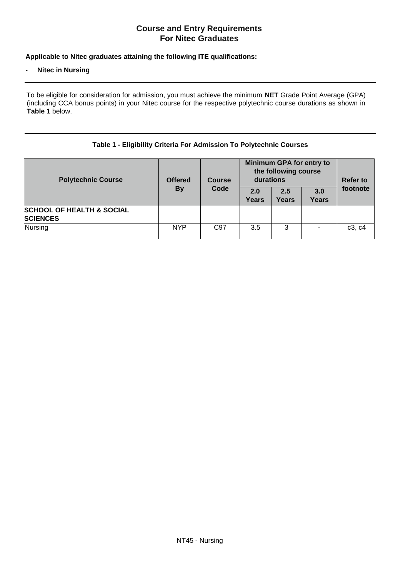# **Course and Entry Requirements For Nitec Graduates**

## **Applicable to Nitec graduates attaining the following ITE qualifications:**

### **Nitec in Nursing**

To be eligible for consideration for admission, you must achieve the minimum **NET** Grade Point Average (GPA) (including CCA bonus points) in your Nitec course for the respective polytechnic course durations as shown in **Table 1** below.

#### **Table 1 - Eligibility Criteria For Admission To Polytechnic Courses**

| <b>Polytechnic Course</b>                               | <b>Offered</b><br><b>By</b> | <b>Course</b><br>Code | Minimum GPA for entry to<br>the following course<br>durations<br>2.5<br>2.0<br>3.0 |       |       | <b>Refer to</b><br>footnote |
|---------------------------------------------------------|-----------------------------|-----------------------|------------------------------------------------------------------------------------|-------|-------|-----------------------------|
|                                                         |                             |                       | Years                                                                              | Years | Years |                             |
| <b>SCHOOL OF HEALTH &amp; SOCIAL</b><br><b>SCIENCES</b> |                             |                       |                                                                                    |       |       |                             |
| Nursing                                                 | <b>NYP</b>                  | C <sub>97</sub>       | 3.5                                                                                | 3     |       | c3, c4                      |